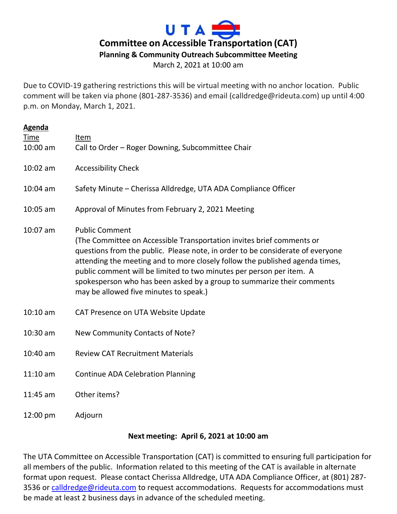# UTA = **Committee on Accessible Transportation (CAT) Planning & Community Outreach Subcommittee Meeting**

March 2, 2021 at 10:00 am

Due to COVID-19 gathering restrictions this will be virtual meeting with no anchor location. Public comment will be taken via phone (801-287-3536) and email (calldredge@rideuta.com) up until 4:00 p.m. on Monday, March 1, 2021.

| <b>Agenda</b><br>Time<br>10:00 am | Item<br>Call to Order - Roger Downing, Subcommittee Chair                                                                                                                                                                                                                                                                                                                                                                                                    |
|-----------------------------------|--------------------------------------------------------------------------------------------------------------------------------------------------------------------------------------------------------------------------------------------------------------------------------------------------------------------------------------------------------------------------------------------------------------------------------------------------------------|
| 10:02 am                          | <b>Accessibility Check</b>                                                                                                                                                                                                                                                                                                                                                                                                                                   |
| $10:04$ am                        | Safety Minute – Cherissa Alldredge, UTA ADA Compliance Officer                                                                                                                                                                                                                                                                                                                                                                                               |
| 10:05 am                          | Approval of Minutes from February 2, 2021 Meeting                                                                                                                                                                                                                                                                                                                                                                                                            |
| 10:07 am                          | <b>Public Comment</b><br>(The Committee on Accessible Transportation invites brief comments or<br>questions from the public. Please note, in order to be considerate of everyone<br>attending the meeting and to more closely follow the published agenda times,<br>public comment will be limited to two minutes per person per item. A<br>spokesperson who has been asked by a group to summarize their comments<br>may be allowed five minutes to speak.) |
| $10:10$ am                        | CAT Presence on UTA Website Update                                                                                                                                                                                                                                                                                                                                                                                                                           |
| 10:30 am                          | New Community Contacts of Note?                                                                                                                                                                                                                                                                                                                                                                                                                              |
| 10:40 am                          | <b>Review CAT Recruitment Materials</b>                                                                                                                                                                                                                                                                                                                                                                                                                      |
| $11:10$ am                        | <b>Continue ADA Celebration Planning</b>                                                                                                                                                                                                                                                                                                                                                                                                                     |
| 11:45 am                          | Other items?                                                                                                                                                                                                                                                                                                                                                                                                                                                 |

12:00 pm Adjourn

#### **Next meeting: April 6, 2021 at 10:00 am**

The UTA Committee on Accessible Transportation (CAT) is committed to ensuring full participation for all members of the public. Information related to this meeting of the CAT is available in alternate format upon request. Please contact Cherissa Alldredge, UTA ADA Compliance Officer, at (801) 287 3536 or [calldredge@rideuta.com](mailto:calldredge@rideuta.com) to request accommodations. Requests for accommodations must be made at least 2 business days in advance of the scheduled meeting.